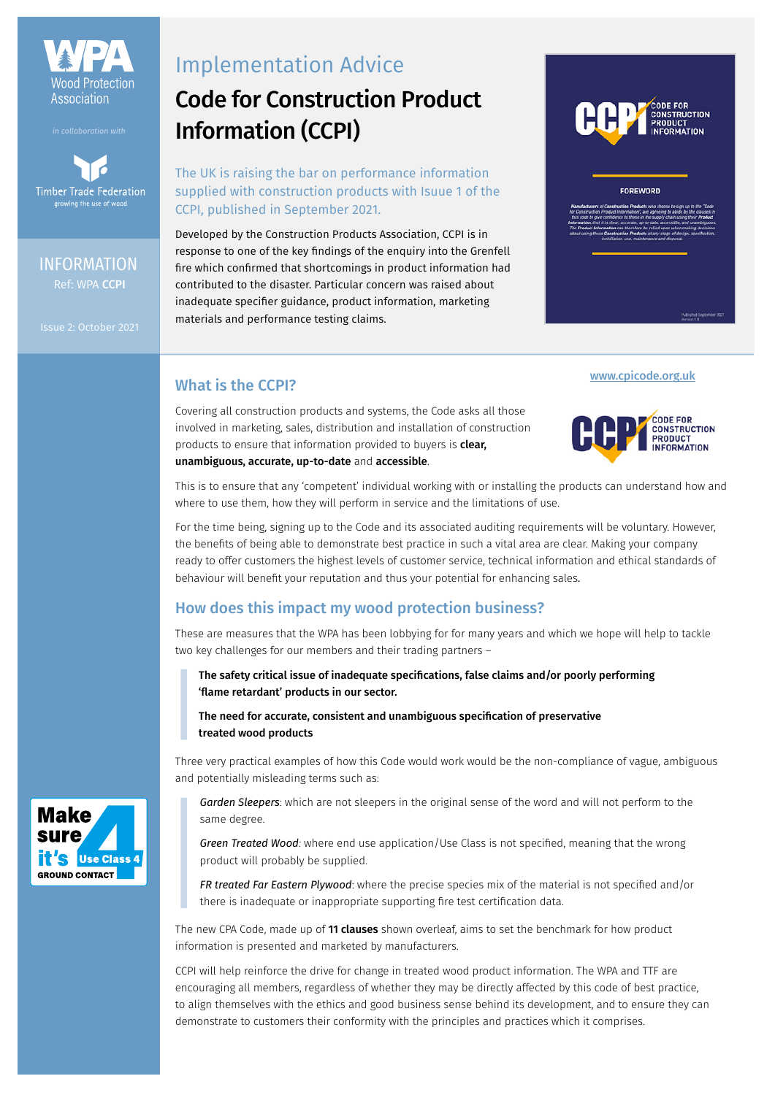

**Timber Trade Federation** growing the use of wo

# Ref: WPA CCPI INFORMATION

# Implementation Advice

# Code for Construction Product Information (CCPI)

## The UK is raising the bar on performance information supplied with construction products with Isuue 1 of the CCPI, published in September 2021.

Developed by the Construction Products Association, CCPI is in response to one of the key findings of the enquiry into the Grenfell fire which confirmed that shortcomings in product information had contributed to the disaster. Particular concern was raised about inadequate specifier guidance, product information, marketing materials and performance testing claims.



#### FOREWORD

# What is the CCPI?

Covering all construction products and systems, the Code asks all those involved in marketing, sales, distribution and installation of construction products to ensure that information provided to buyers is **clear,** unambiguous, accurate, up-to-date and accessible.



[www.cpicode.org.uk](https://www.cpicode.org.uk)

This is to ensure that any 'competent' individual working with or installing the products can understand how and where to use them, how they will perform in service and the limitations of use.

For the time being, signing up to the Code and its associated auditing requirements will be voluntary. However, the benefits of being able to demonstrate best practice in such a vital area are clear. Making your company ready to offer customers the highest levels of customer service, technical information and ethical standards of behaviour will benefit your reputation and thus your potential for enhancing sales.

# How does this impact my wood protection business?

These are measures that the WPA has been lobbying for for many years and which we hope will help to tackle two key challenges for our members and their trading partners –

## The safety critical issue of inadequate specifications, false claims and/or poorly performing 'flame retardant' products in our sector.

The need for accurate, consistent and unambiguous specification of preservative treated wood products

Three very practical examples of how this Code would work would be the non-compliance of vague, ambiguous and potentially misleading terms such as:

*Garden Sleepers*: which are not sleepers in the original sense of the word and will not perform to the same degree.

*Green Treated Wood:* where end use application/Use Class is not specified, meaning that the wrong product will probably be supplied.

*FR treated Far Eastern Plywood*: where the precise species mix of the material is not specified and/or there is inadequate or inappropriate supporting fire test certification data.

The new CPA Code, made up of 11 clauses shown overleaf, aims to set the benchmark for how product information is presented and marketed by manufacturers.

CCPI will help reinforce the drive for change in treated wood product information. The WPA and TTF are encouraging all members, regardless of whether they may be directly affected by this code of best practice, to align themselves with the ethics and good business sense behind its development, and to ensure they can demonstrate to customers their conformity with the principles and practices which it comprises.